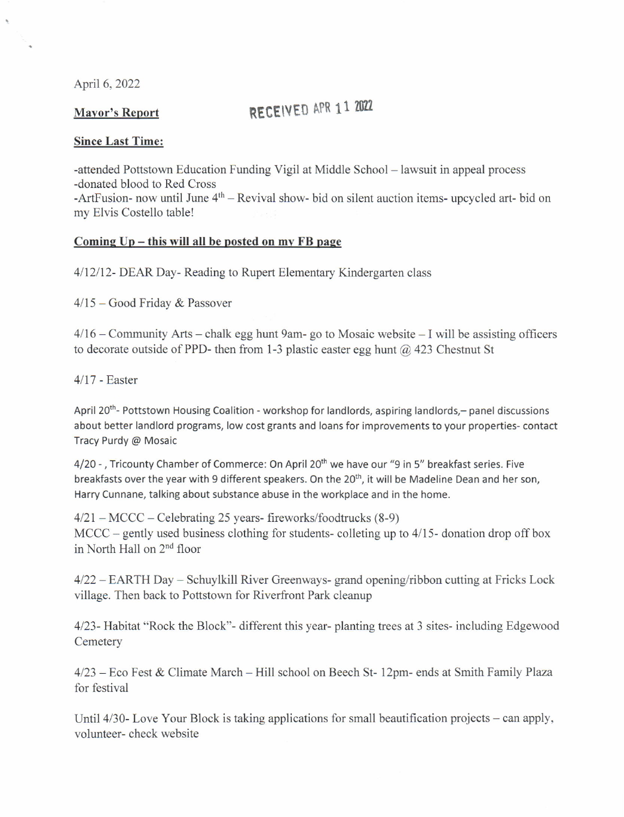April 6, 2022

## Mayor's Report RECEIVED APR 1 1 2022

## Since Last Time:

-attended Pottstown Education Funding Vigil at Middle School - lawsuit in appeal process -donated blood to Red Cross

 $-A$ rtFusion- now until June  $4<sup>th</sup>$  – Revival show- bid on silent auction items- upcycled art- bid on my Elvis Costello table!

## Coming  $Up - this$  will all be posted on my FB page

4112/12- DEAR Day- Reading to Rupert Elementary Kindergarten class

 $4/15$  – Good Friday & Passover

 $4/16$  – Community Arts – chalk egg hunt 9am- go to Mosaic website – I will be assisting officers to decorate outside of PPD- then from 1-3 plastic easter egg hunt  $(a)$  423 Chestnut St

 $4/17$  - Easter

April 20<sup>th</sup>- Pottstown Housing Coalition - workshop for landlords, aspiring landlords,- panel discussions about better landlord programs, low cost grants and loans for improvements to your properties- contact Tracy Purdy @ Mosaic

4/20 - , Tricounty Chamber of Commerce: On April 20<sup>th</sup> we have our "9 in 5" breakfast series. Five breakfasts over the year with 9 different speakers. On the 20<sup>th</sup>, it will be Madeline Dean and her son, Harry Cunnane, talking about substance abuse in the workplace and in the home.

 $4/21 - MCCC - Celebrating 25 years - fireworks/food trucks (8-9)$ MCCC – gently used business clothing for students- colleting up to  $4/15$ -donation drop off box in North Hall on 2nd floor

 $4/22 - EARTH$  Day – Schuylkill River Greenways- grand opening/ribbon cutting at Fricks Lock village. Then back to Pottstown for Riverfront Park cleanup

4123- Habitat "Rock the Block"- different this year- planting trees at 3 sites- including Edgewood **Cemetery** 

4123 Eco Fest & Climate March - Hill school on Beech St- 12om- ends at Smith Familv Plaza for festival

Until 4/30- Love Your Block is taking applications for small beautification projects – can apply, volunteer- check website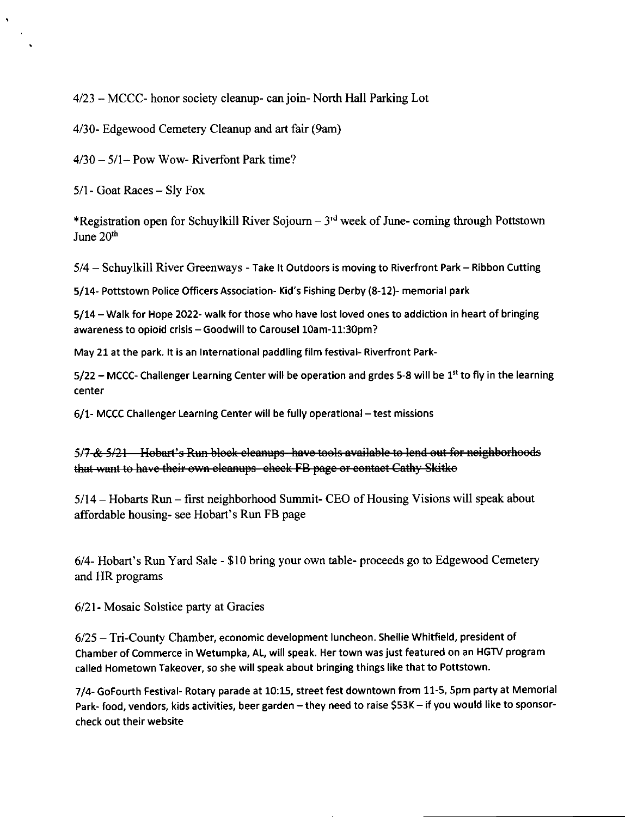4/23 - MCCC- honor society cleanup- can join- North Hall Parking Lot

4/30- Edgewood Cemetery Cleanup and art fair (9am)

 $4/30 - 5/1 -$  Pow Wow- Riverfont Park time?

 $5/1$ - Goat Races – Sly Fox

\*Registration open for Schuylkill River Sojourn  $-3<sup>rd</sup>$  week of June- coming through Pottstown June 20th

5/4 - Schuylkill River Greenways - Take lt Outdoors is moving to Riverfront Park - Ribbon Cutting

5/14- Pottstown Police Officers Association- Kid's Fishing Derby (8-12)- memorial park

5/14 - Walk for Hope 2022- walk for those who have lost loved ones to addiction in heart of bringing awareness to opioid crisis - Goodwill to Carousel 10am-11:30pm?

May 21 at the park. It is an International paddling film festival- Riverfront Park-

 $5/22$  – MCCC- Challenger Learning Center will be operation and grdes 5-8 will be 1<sup>st</sup> to fly in the learning center

6/1- MCCC Challenger Learning Center will be fully operational – test missions

5/7-& 5/21 Hobart's Run block cleanups-have tools available to lend out for neighborhoods that want to have their own eleanups eheck FB page or contact Cathy Skitko

5/14 - Hobarts Run - first neighborhood Summit- CEO of Housing Visions will speak about affordable housing- see Hobart's Run FB page

6/4- Hobart's Run Yard Sale - \$10 bring your own table- proceeds go to Edgewood Cemetery and HR programs

6/21- Mosaic Solstice party at Gracies

6/25 - Tri-County Chamber, economic development luncheon. shellie Whitfield, president of Chamber of Commerce in Wetumpka, AL, will speak. Her town was just featured on an HGTV program called Hometown Takeover, so she will speak about bringing things like that to Pottstown.

7/4- GoFourth Festival- Rotary parade at 10:15, street fest downtown from 11-5, 5pm party at Memorial Park- food, vendors, kids activities, beer garden - they need to raise \$53K - if you would like to sponsorcheck out their website